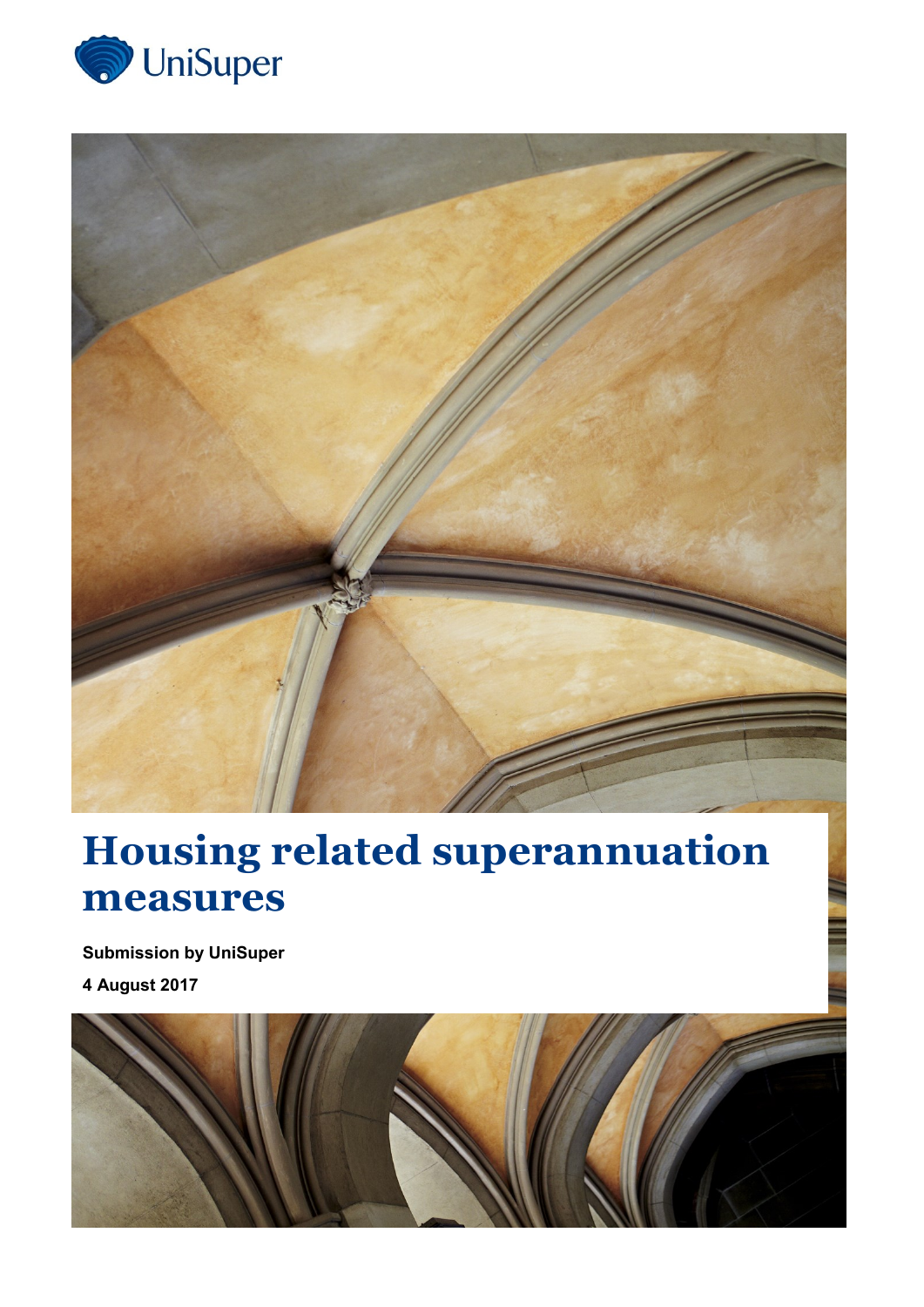



# **Housing related superannuation measures**

**Submission by UniSuper 4 August 2017**

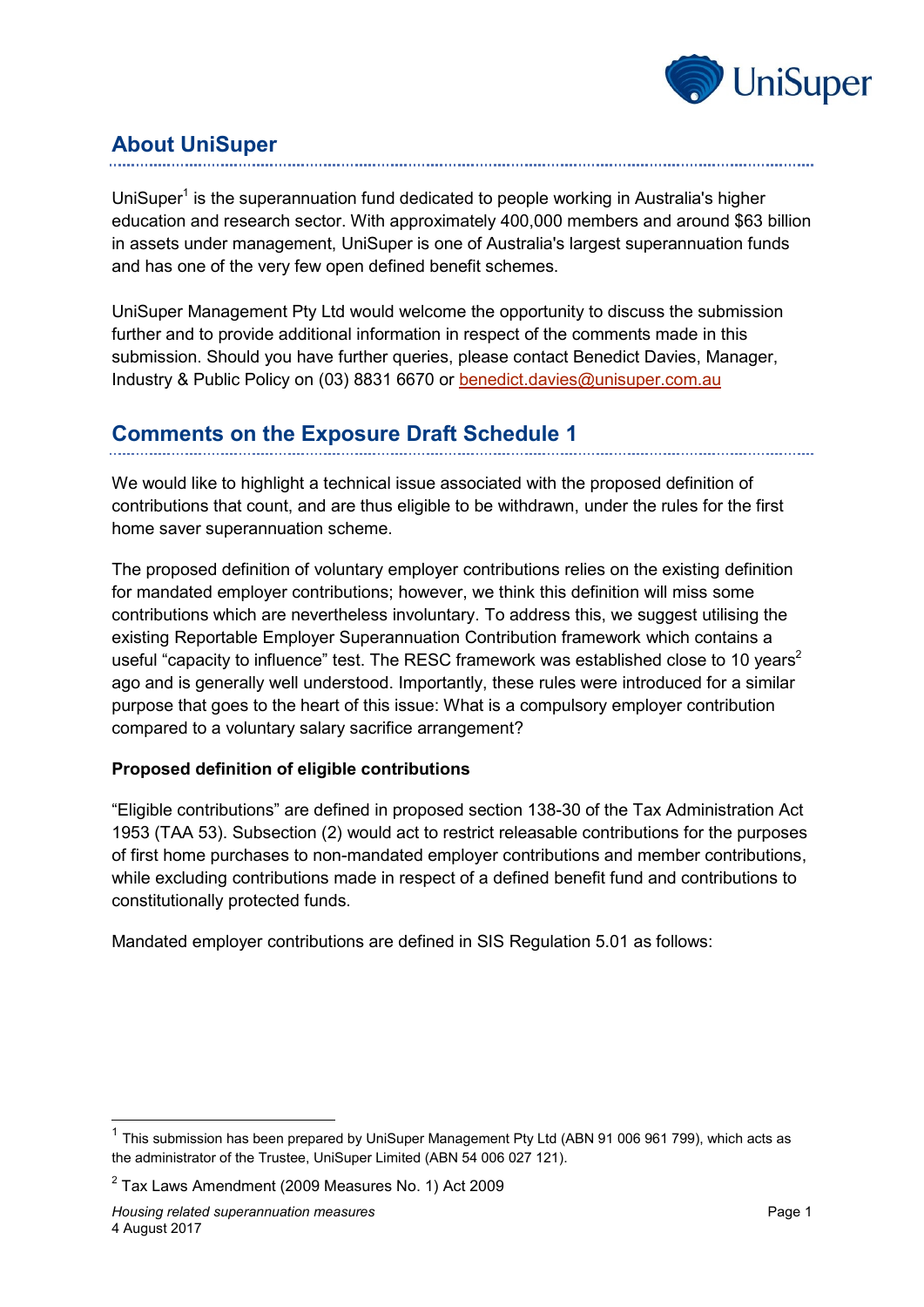

## **About UniSuper**

UniSuper<sup>1</sup> is the superannuation fund dedicated to people working in Australia's higher education and research sector. With approximately 400,000 members and around \$63 billion in assets under management, UniSuper is one of Australia's largest superannuation funds and has one of the very few open defined benefit schemes.

UniSuper Management Pty Ltd would welcome the opportunity to discuss the submission further and to provide additional information in respect of the comments made in this submission. Should you have further queries, please contact Benedict Davies, Manager, Industry & Public Policy on (03) 8831 6670 or [benedict.davies@unisuper.com.au](mailto:benedict.davies@unisuper.com.au)

## **Comments on the Exposure Draft Schedule 1**

We would like to highlight a technical issue associated with the proposed definition of contributions that count, and are thus eligible to be withdrawn, under the rules for the first home saver superannuation scheme.

The proposed definition of voluntary employer contributions relies on the existing definition for mandated employer contributions; however, we think this definition will miss some contributions which are nevertheless involuntary. To address this, we suggest utilising the existing Reportable Employer Superannuation Contribution framework which contains a useful "capacity to influence" test. The RESC framework was established close to 10 years<sup>2</sup> ago and is generally well understood. Importantly, these rules were introduced for a similar purpose that goes to the heart of this issue: What is a compulsory employer contribution compared to a voluntary salary sacrifice arrangement?

### **Proposed definition of eligible contributions**

"Eligible contributions" are defined in proposed section 138-30 of the Tax Administration Act 1953 (TAA 53). Subsection (2) would act to restrict releasable contributions for the purposes of first home purchases to non-mandated employer contributions and member contributions, while excluding contributions made in respect of a defined benefit fund and contributions to constitutionally protected funds.

Mandated employer contributions are defined in SIS Regulation 5.01 as follows:

-

 $1$  This submission has been prepared by UniSuper Management Pty Ltd (ABN 91 006 961 799), which acts as the administrator of the Trustee, UniSuper Limited (ABN 54 006 027 121).

 $2$  Tax Laws Amendment (2009 Measures No. 1) Act 2009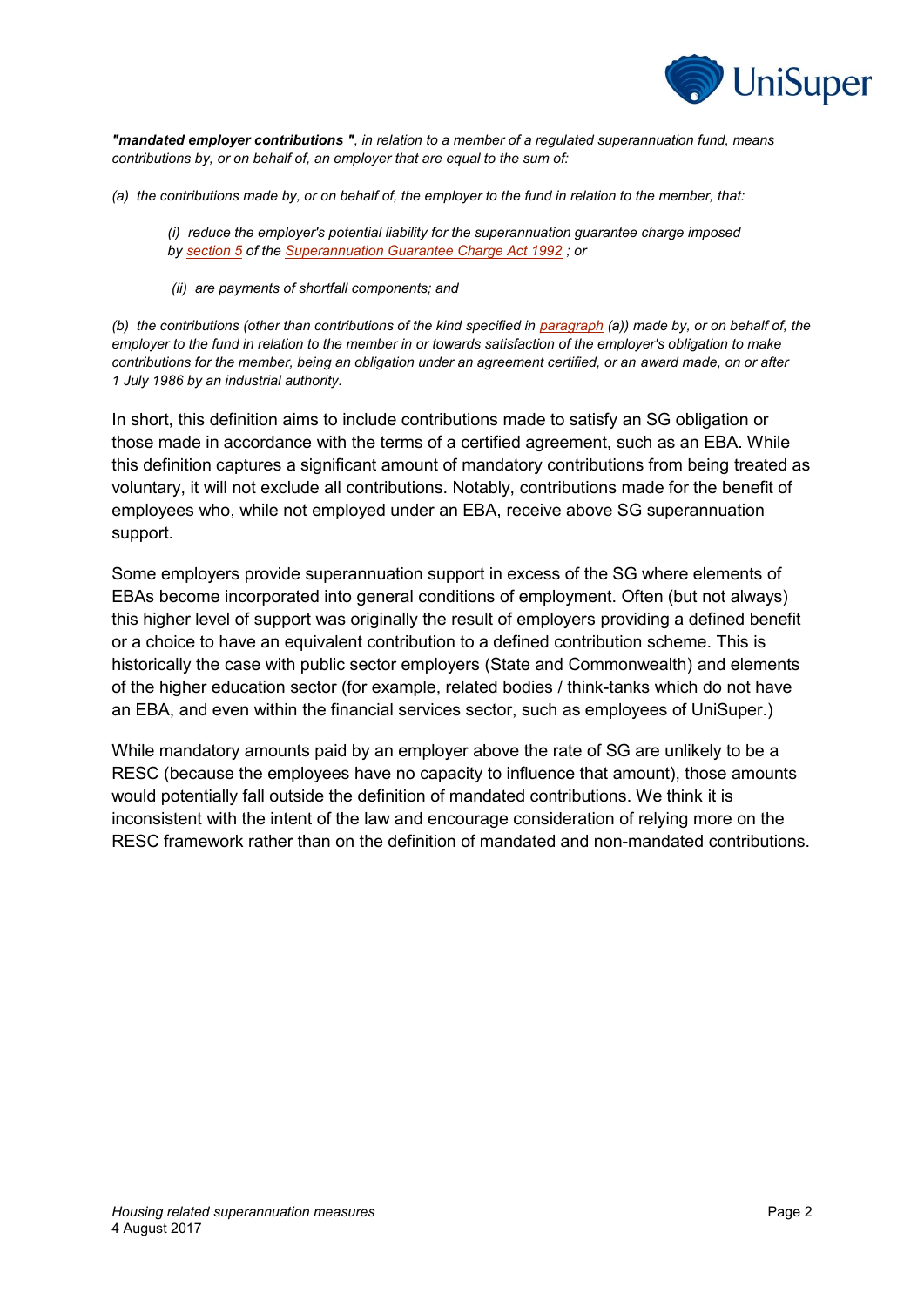

*"mandated employer contributions ", in relation to a member of a regulated superannuation fund, means contributions by, or on behalf of, an employer that are equal to the sum of:*

*(a) the contributions made by, or on behalf of, the employer to the fund in relation to the member, that:*

*(i) reduce the employer's potential liability for the superannuation guarantee charge imposed by [section](http://www.austlii.edu.au/au/legis/cth/consol_act/sgca1992314/s5.html) 5 of the [Superannuation Guarantee Charge Act 1992](http://www.austlii.edu.au/au/legis/cth/consol_act/sgca1992314/) ; or*

*(ii) are payments of shortfall components; and*

*(b) the contributions (other than contributions of the kind specified in [paragraph](http://www.austlii.edu.au/au/legis/cth/consol_reg/sir1994582/s13.22b.html#paragraph) (a)) made by, or on behalf of, the employer to the fund in relation to the member in or towards satisfaction of the employer's obligation to make contributions for the member, being an obligation under an agreement certified, or an award made, on or after 1 July 1986 by an industrial authority.*

In short, this definition aims to include contributions made to satisfy an SG obligation or those made in accordance with the terms of a certified agreement, such as an EBA. While this definition captures a significant amount of mandatory contributions from being treated as voluntary, it will not exclude all contributions. Notably, contributions made for the benefit of employees who, while not employed under an EBA, receive above SG superannuation support.

Some employers provide superannuation support in excess of the SG where elements of EBAs become incorporated into general conditions of employment. Often (but not always) this higher level of support was originally the result of employers providing a defined benefit or a choice to have an equivalent contribution to a defined contribution scheme. This is historically the case with public sector employers (State and Commonwealth) and elements of the higher education sector (for example, related bodies / think-tanks which do not have an EBA, and even within the financial services sector, such as employees of UniSuper.)

While mandatory amounts paid by an employer above the rate of SG are unlikely to be a RESC (because the employees have no capacity to influence that amount), those amounts would potentially fall outside the definition of mandated contributions. We think it is inconsistent with the intent of the law and encourage consideration of relying more on the RESC framework rather than on the definition of mandated and non-mandated contributions.